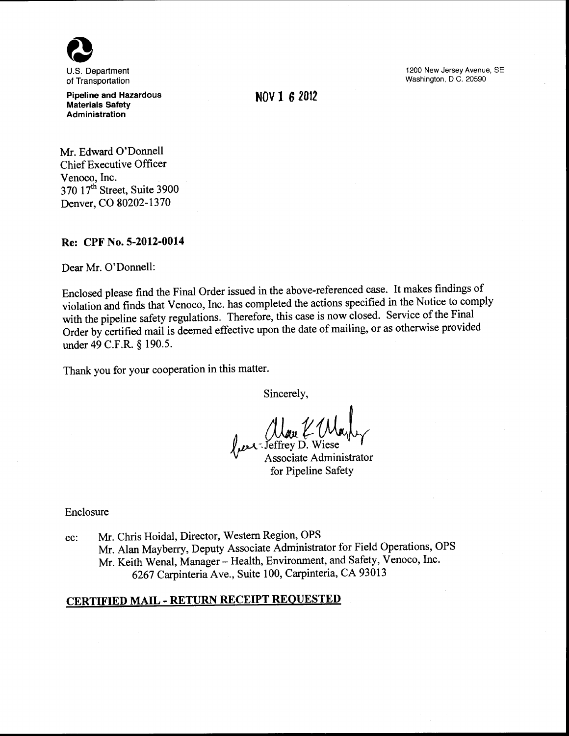

of Transportation

Pipeline and Hazardous Materials Safety Administration

Mr. Edward O'Donnell Chief Executive Officer Venoco, Inc. 370 17<sup>th</sup> Street, Suite 3900 Denver, CO 80202-1370

Re: CPF No. 5-2012-0014

Dear Mr. O'Donnell:

Enclosed please find the Final Order issued in the above-referenced case. It makes findings of violation and finds that Venoco, Inc. has completed the actions specified in the Notice to comply with the pipeline safety regulations. Therefore, this case is now closed. Service of the Final Order by certified mail is deemed effective upon the date of mailing, or as otherwise provided under 49 C.F.R. § 190.5.

Thank you for your cooperation in this matter.

Sincerely,

Uau (Mayly for Pipeline Safety

Enclosure

cc: Mr. Chris Hoidal, Director, Western Region, OPS Mr. Alan Mayberry, Deputy Associate Administrator for Field Operations, OPS Mr. Keith Wenal, Manager- Health, Environment, and Safety, Venoco, Inc. 6267 Carpinteria Ave., Suite 100, Carpinteria, CA 93013

# CERTIFIED MAIL- RETURN RECEIPT REQUESTED

1200 New Jersey Avenue, SE Washington. D.C. 20590

NOV 1 *6* <sup>2012</sup>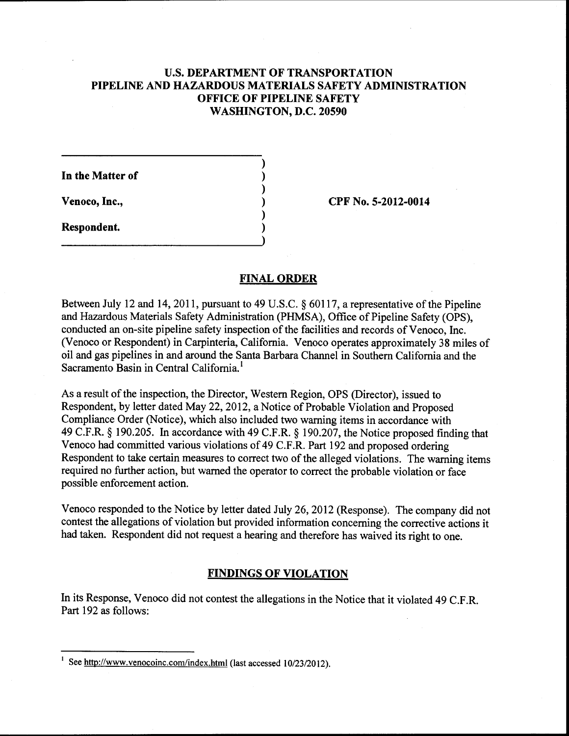# U.S. **DEPARTMENT OF TRANSPORTATION PIPELINE AND HAZARDOUS MATERIALS SAFETY ADMINISTRATION OFFICE OF PIPELINE SAFETY WASHINGTON, D.C. 20590**

) ) ) ) ) )

**In the Matter of** 

**Venoco, Inc.,** 

**Respondent.** 

**CPF** No. **5-2012-0014** 

### **FINAL ORDER**

Between July 12 and 14, 2011, pursuant to 49 U.S.C. § 60117, a representative of the Pipeline and Hazardous Materials Safety Administration (PHMSA), Office of Pipeline Safety (OPS), conducted an on-site pipeline safety inspection of the facilities and records of Venoco, Inc. (Venoco or Respondent) in Carpinteria, California. Venoco operates approximately 38 miles of oil and gas pipelines in and around the Santa Barbara Channel in Southern California and the Sacramento Basin in Central California.<sup>1</sup>

As a result of the inspection, the Director, Western Region, OPS (Director), issued to Respondent, by letter dated May 22, 2012, a Notice of Probable Violation and Proposed Compliance Order (Notice), which also included two warning items in accordance with 49 C.F.R. § 190.205. In accordance with 49 C.F.R. § 190.207, the Notice proposed finding that Venoco had committed various violations of 49 C.F.R. Part 192 and proposed ordering Respondent to take certain measures to correct two of the alleged violations. The warning items required no further action, but warned the operator to correct the probable violation or face possible enforcement action.

Venoco responded to the Notice by letter dated July 26,2012 (Response). The company did not contest the allegations of violation but provided information concerning the corrective actions it had taken. Respondent did not request a hearing and therefore has waived its right to one.

# **FINDINGS OF VIOLATION**

In its Response, Venoco did not contest the allegations in the Notice that it violated 49 C.F.R. Part 192 as follows:

See http://www.venocoinc.com/index.html (last accessed 10/23/2012).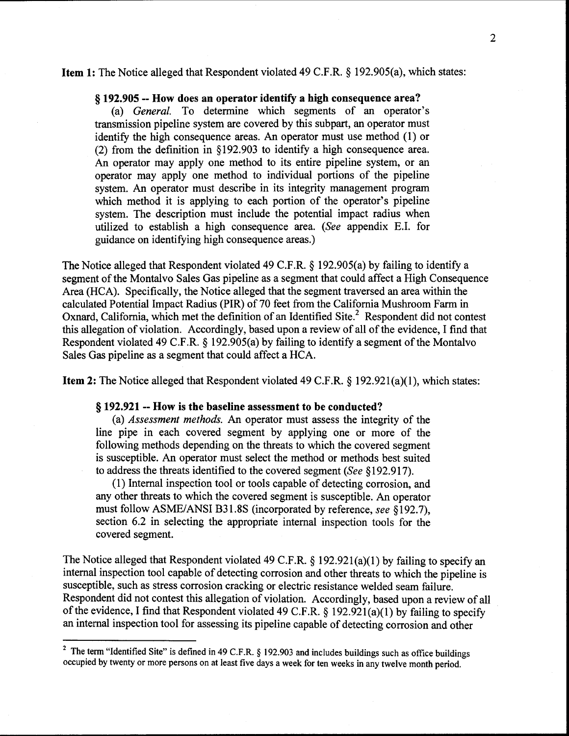#### Item 1: The Notice alleged that Respondent violated 49 C.F.R. § 192.905(a), which states:

### § 192.905 --How does an operator identify a high consequence area?

(a) *General.* To determine which segments of an operator's transmission pipeline system are covered by this subpart, an operator must identify the high consequence areas. An operator must use method (1) or (2) from the definition in § 192.903 to identify a high consequence area. An operator may apply one method to its entire pipeline system, or an operator may apply one method to individual portions of the pipeline system. An operator must describe in its integrity management program which method it is applying to each portion of the operator's pipeline system. The description must include the potential impact radius when utilized to establish a high consequence area. *(See* appendix E.I. for guidance on identifying high consequence areas.)

The Notice alleged that Respondent violated 49 C.F.R. § 192.905(a) by failing to identify a segment of the Montalvo Sales Gas pipeline as a segment that could affect a High Consequence Area (HCA). Specifically, the Notice alleged that the segment traversed an area within the calculated Potential Impact Radius (PIR) of 70 feet from the California Mushroom Farm in Oxnard, California, which met the definition of an Identified Site.<sup>2</sup> Respondent did not contest this allegation of violation. Accordingly, based upon a review of all of the evidence, I find that Respondent violated 49 C.F.R.  $\S$  192.905(a) by failing to identify a segment of the Montalvo Sales Gas pipeline as a segment that could affect a HCA.

Item 2: The Notice alleged that Respondent violated 49 C.F.R. § 192.921(a)(1), which states:

#### § 192.921 -- How is the baseline assessment to be conducted?

(a) *Assessment methods.* An operator must assess the integrity of the line pipe in each covered segment by applying one or more of the following methods depending on the threats to which the covered segment is susceptible. An operator must select the method or methods best suited to address the threats identified to the covered segment *(See* § 192.917).

(1) Internal inspection tool or tools capable of detecting corrosion, and any other threats to which the covered segment is susceptible. An operator must follow ASME/ANSI B31.8S (incorporated by reference, *see* §192.7), section 6.2 in selecting the appropriate internal inspection tools for the covered segment.

The Notice alleged that Respondent violated 49 C.F.R. § 192.921(a)(1) by failing to specify an internal inspection tool capable of detecting corrosion and other threats to which the pipeline is susceptible, such as stress corrosion cracking or electric resistance welded seam failure. Respondent did not contest this allegation of violation. Accordingly, based upon a review of all of the evidence, I find that Respondent violated 49 C.F.R. § 192.921(a)(1) by failing to specify an internal inspection tool for assessing its pipeline capable of detecting corrosion and other

<sup>&</sup>lt;sup>2</sup> The term "Identified Site" is defined in 49 C.F.R. § 192.903 and includes buildings such as office buildings occupied by twenty or more persons on at least five days a week for ten weeks in any twelve month period.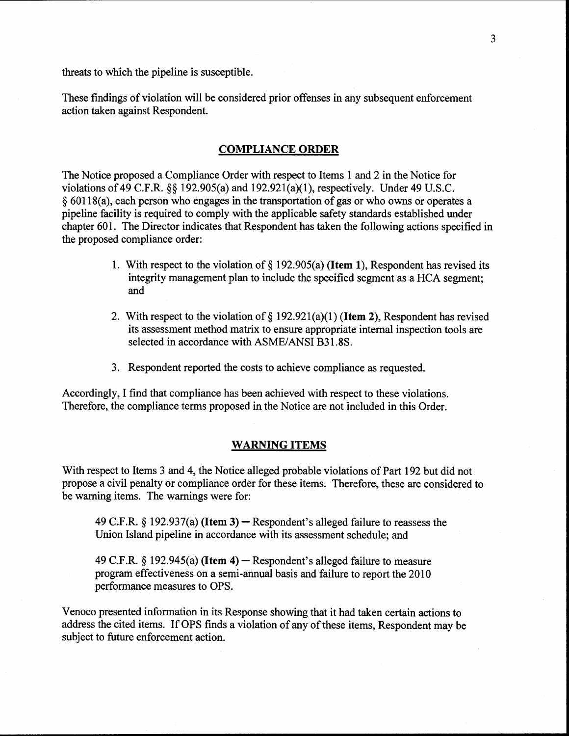threats to which the pipeline is susceptible.

These findings of violation will be considered prior offenses in any subsequent enforcement action taken against Respondent.

# COMPLIANCE ORDER

The Notice proposed a Compliance Order with respect to Items 1 and 2 in the Notice for violations of 49 C.F.R. §§ 192.905(a) and 192.921(a)(1), respectively. Under 49 U.S.C. § 60118(a), each person who engages in the transportation of gas or who owns or operates a pipeline facility is required to comply with the applicable safety standards established under chapter 601. The Director indicates that Respondent has taken the following actions specified in the proposed compliance order:

- 1. With respect to the violation of  $\S$  192.905(a) (**Item 1**), Respondent has revised its integrity management plan to include the specified segment as a HCA segment; and
- 2. With respect to the violation of  $\S 192.921(a)(1)$  (Item 2), Respondent has revised its assessment method matrix to ensure appropriate internal inspection tools are selected in accordance with ASME/ANSI B31.8S.
- 3. Respondent reported the costs to achieve compliance as requested.

Accordingly, I find that compliance has been achieved with respect to these violations. Therefore, the compliance terms proposed in the Notice are not included in this Order.

### WARNING ITEMS

With respect to Items 3 and 4, the Notice alleged probable violations of Part 192 but did not propose a civil penalty or compliance order for these items. Therefore, these are considered to be warning items. The warnings were for:

49 C.F.R.  $\S$  192.937(a) (Item 3) – Respondent's alleged failure to reassess the Union Island pipeline in accordance with its assessment schedule; and

49 C.F.R.  $\S$  192.945(a) (Item 4) – Respondent's alleged failure to measure program effectiveness on a semi-annual basis and failure to report the 2010 performance measures to OPS.

Venoco presented information in its Response showing that it had taken certain actions to address the cited items. If OPS finds a violation of any of these items, Respondent may be subject to future enforcement action.